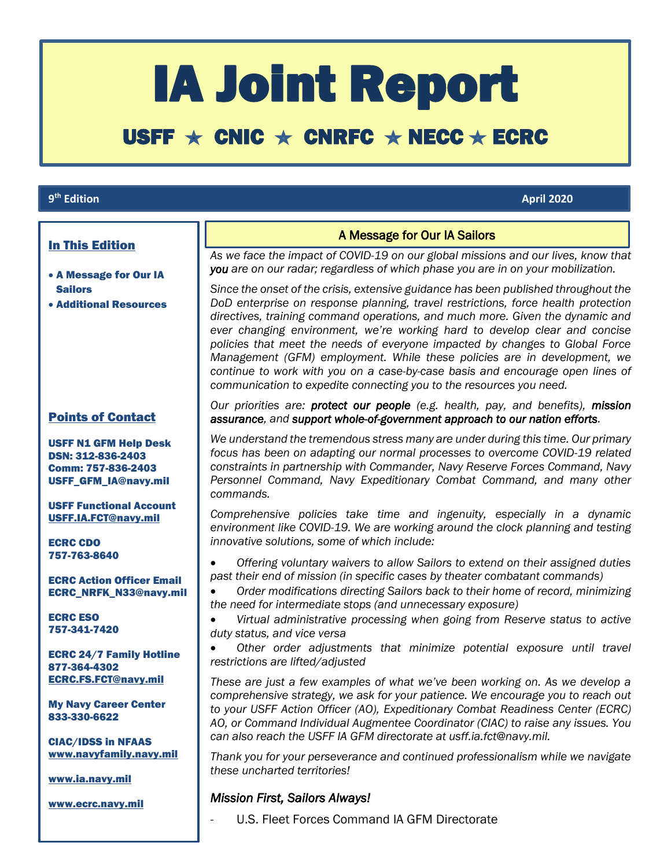# IA Joint Report

## USFF  $\star$  CNIC  $\star$  CNRFC  $\star$  NECC  $\star$  ECRC

#### 9<sup>th</sup> Edition

#### **th Edition April 2020**

 $\overline{\phantom{a}}$ 

#### In This Edition

- A Message for Our IA Sailors
- Additional Resources

#### Points of Contact

USFF N1 GFM Help Desk DSN: 312-836-2403 Comm: 757-836-2403 USFF\_GFM\_IA@navy.mil

USFF Functional Account [USFF.IA.FCT@navy.mil](mailto:USFF.IA.FCT@navy.mil)

ECRC CDO 757-763-8640

ECRC Action Officer Email ECRC\_NRFK\_N33@navy.mil

ECRC ESO 757-341-7420

ECRC 24/7 Family Hotline 877-364-4302 [ECRC.FS.FCT@navy.mil](mailto:ECRC.FS.FCT@navy.mil)

My Navy Career Center 833-330-6622

CIAC/IDSS in NFAAS [www.navyfamily.navy.mil](http://www.navyfamily.navy.mil/)

[www.ia.navy.mil](http://www.ia.navy.mil/)

[www.ecrc.navy.mil](http://www.ecrc.navy.mil/)

#### A Message for Our IA Sailors

*As we face the impact of COVID-19 on our global missions and our lives, know that you are on our radar; regardless of which phase you are in on your mobilization.* 

*Since the onset of the crisis, extensive guidance has been published throughout the DoD enterprise on response planning, travel restrictions, force health protection directives, training command operations, and much more. Given the dynamic and ever changing environment, we're working hard to develop clear and concise policies that meet the needs of everyone impacted by changes to Global Force Management (GFM) employment. While these policies are in development, we continue to work with you on a case-by-case basis and encourage open lines of communication to expedite connecting you to the resources you need.*

*Our priorities are: protect our people (e.g. health, pay, and benefits), mission assurance, and support whole-of-government approach to our nation efforts.* 

*We understand the tremendous stress many are under during this time. Our primary focus has been on adapting our normal processes to overcome COVID-19 related constraints in partnership with Commander, Navy Reserve Forces Command, Navy Personnel Command, Navy Expeditionary Combat Command, and many other commands.* 

*Comprehensive policies take time and ingenuity, especially in a dynamic environment like COVID-19. We are working around the clock planning and testing innovative solutions, some of which include:*

 *Offering voluntary waivers to allow Sailors to extend on their assigned duties past their end of mission (in specific cases by theater combatant commands)* 

 *Order modifications directing Sailors back to their home of record, minimizing the need for intermediate stops (and unnecessary exposure)*

 *Virtual administrative processing when going from Reserve status to active duty status, and vice versa*

 *Other order adjustments that minimize potential exposure until travel restrictions are lifted/adjusted*

*These are just a few examples of what we've been working on. As we develop a comprehensive strategy, we ask for your patience. We encourage you to reach out to your USFF Action Officer (AO), Expeditionary Combat Readiness Center (ECRC) AO, or Command Individual Augmentee Coordinator (CIAC) to raise any issues. You can also reach the USFF IA GFM directorate at usff.ia.fct@navy.mil.* 

*Thank you for your perseverance and continued professionalism while we navigate these uncharted territories!*

#### *Mission First, Sailors Always!*

*-* U.S. Fleet Forces Command IA GFM Directorate